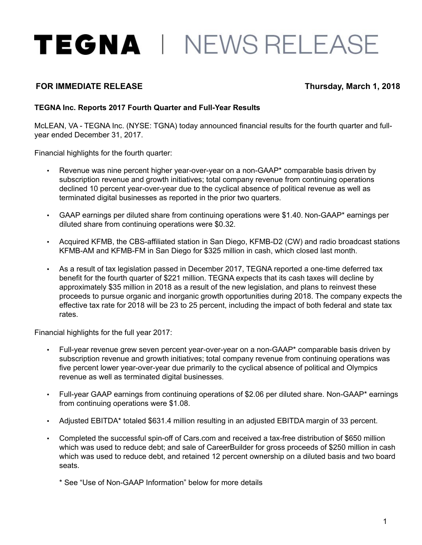# TEGNA | NEWS RELEASE

# **FOR IMMEDIATE RELEASE Thursday, March 1, 2018**

#### **TEGNA Inc. Reports 2017 Fourth Quarter and Full-Year Results**

McLEAN, VA - TEGNA Inc. (NYSE: TGNA) today announced financial results for the fourth quarter and fullyear ended December 31, 2017.

Financial highlights for the fourth quarter:

- Revenue was nine percent higher year-over-year on a non-GAAP\* comparable basis driven by subscription revenue and growth initiatives; total company revenue from continuing operations declined 10 percent year-over-year due to the cyclical absence of political revenue as well as terminated digital businesses as reported in the prior two quarters.
- GAAP earnings per diluted share from continuing operations were \$1.40. Non-GAAP\* earnings per diluted share from continuing operations were \$0.32.
- Acquired KFMB, the CBS-affiliated station in San Diego, KFMB-D2 (CW) and radio broadcast stations KFMB-AM and KFMB-FM in San Diego for \$325 million in cash, which closed last month.
- As a result of tax legislation passed in December 2017, TEGNA reported a one-time deferred tax benefit for the fourth quarter of \$221 million. TEGNA expects that its cash taxes will decline by approximately \$35 million in 2018 as a result of the new legislation, and plans to reinvest these proceeds to pursue organic and inorganic growth opportunities during 2018. The company expects the effective tax rate for 2018 will be 23 to 25 percent, including the impact of both federal and state tax rates.

Financial highlights for the full year 2017:

- Full-year revenue grew seven percent year-over-year on a non-GAAP\* comparable basis driven by subscription revenue and growth initiatives; total company revenue from continuing operations was five percent lower year-over-year due primarily to the cyclical absence of political and Olympics revenue as well as terminated digital businesses.
- Full-year GAAP earnings from continuing operations of \$2.06 per diluted share. Non-GAAP\* earnings from continuing operations were \$1.08.
- Adjusted EBITDA\* totaled \$631.4 million resulting in an adjusted EBITDA margin of 33 percent.
- Completed the successful spin-off of Cars.com and received a tax-free distribution of \$650 million which was used to reduce debt; and sale of CareerBuilder for gross proceeds of \$250 million in cash which was used to reduce debt, and retained 12 percent ownership on a diluted basis and two board seats.

\* See "Use of Non-GAAP Information" below for more details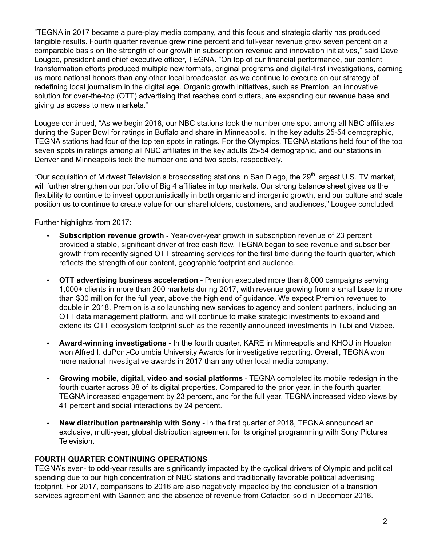"TEGNA in 2017 became a pure-play media company, and this focus and strategic clarity has produced tangible results. Fourth quarter revenue grew nine percent and full-year revenue grew seven percent on a comparable basis on the strength of our growth in subscription revenue and innovation initiatives," said Dave Lougee, president and chief executive officer, TEGNA. "On top of our financial performance, our content transformation efforts produced multiple new formats, original programs and digital-first investigations, earning us more national honors than any other local broadcaster, as we continue to execute on our strategy of redefining local journalism in the digital age. Organic growth initiatives, such as Premion, an innovative solution for over-the-top (OTT) advertising that reaches cord cutters, are expanding our revenue base and giving us access to new markets."

Lougee continued, "As we begin 2018, our NBC stations took the number one spot among all NBC affiliates during the Super Bowl for ratings in Buffalo and share in Minneapolis. In the key adults 25-54 demographic, TEGNA stations had four of the top ten spots in ratings. For the Olympics, TEGNA stations held four of the top seven spots in ratings among all NBC affiliates in the key adults 25-54 demographic, and our stations in Denver and Minneapolis took the number one and two spots, respectively.

"Our acquisition of Midwest Television's broadcasting stations in San Diego, the 29<sup>th</sup> largest U.S. TV market, will further strengthen our portfolio of Big 4 affiliates in top markets. Our strong balance sheet gives us the flexibility to continue to invest opportunistically in both organic and inorganic growth, and our culture and scale position us to continue to create value for our shareholders, customers, and audiences," Lougee concluded.

Further highlights from 2017:

- **Subscription revenue growth** Year-over-year growth in subscription revenue of 23 percent provided a stable, significant driver of free cash flow. TEGNA began to see revenue and subscriber growth from recently signed OTT streaming services for the first time during the fourth quarter, which reflects the strength of our content, geographic footprint and audience.
- **OTT advertising business acceleration**  Premion executed more than 8,000 campaigns serving 1,000+ clients in more than 200 markets during 2017, with revenue growing from a small base to more than \$30 million for the full year, above the high end of guidance. We expect Premion revenues to double in 2018. Premion is also launching new services to agency and content partners, including an OTT data management platform, and will continue to make strategic investments to expand and extend its OTT ecosystem footprint such as the recently announced investments in Tubi and Vizbee.
- **Award-winning investigations**  In the fourth quarter, KARE in Minneapolis and KHOU in Houston won Alfred I. duPont-Columbia University Awards for investigative reporting. Overall, TEGNA won more national investigative awards in 2017 than any other local media company.
- **Growing mobile, digital, video and social platforms** TEGNA completed its mobile redesign in the fourth quarter across 38 of its digital properties. Compared to the prior year, in the fourth quarter, TEGNA increased engagement by 23 percent, and for the full year, TEGNA increased video views by 41 percent and social interactions by 24 percent.
- **New distribution partnership with Sony** In the first quarter of 2018, TEGNA announced an exclusive, multi-year, global distribution agreement for its original programming with Sony Pictures Television.

## **FOURTH QUARTER CONTINUING OPERATIONS**

TEGNA's even- to odd-year results are significantly impacted by the cyclical drivers of Olympic and political spending due to our high concentration of NBC stations and traditionally favorable political advertising footprint. For 2017, comparisons to 2016 are also negatively impacted by the conclusion of a transition services agreement with Gannett and the absence of revenue from Cofactor, sold in December 2016.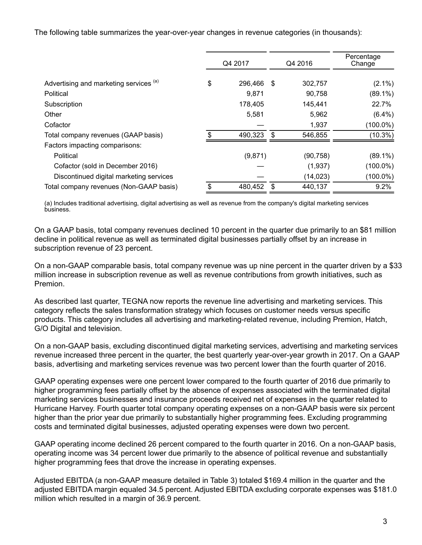The following table summarizes the year-over-year changes in revenue categories (in thousands):

|                                         | Q4 2017       |      | Q4 2016   | Percentage<br>Change |  |  |
|-----------------------------------------|---------------|------|-----------|----------------------|--|--|
| Advertising and marketing services (a)  | \$<br>296,466 | - \$ | 302,757   | $(2.1\%)$            |  |  |
| Political                               | 9,871         |      | 90,758    | $(89.1\%)$           |  |  |
| Subscription                            | 178,405       |      | 145,441   | 22.7%                |  |  |
| Other                                   | 5,581         |      | 5,962     | $(6.4\%)$            |  |  |
| Cofactor                                |               |      | 1,937     | $(100.0\%)$          |  |  |
| Total company revenues (GAAP basis)     | 490,323       | \$.  | 546,855   | $(10.3\%)$           |  |  |
| Factors impacting comparisons:          |               |      |           |                      |  |  |
| Political                               | (9,871)       |      | (90, 758) | $(89.1\%)$           |  |  |
| Cofactor (sold in December 2016)        |               |      | (1,937)   | $(100.0\%)$          |  |  |
| Discontinued digital marketing services |               |      | (14, 023) | $(100.0\%)$          |  |  |
| Total company revenues (Non-GAAP basis) | \$<br>480,452 | \$   | 440,137   | 9.2%                 |  |  |

(a) Includes traditional advertising, digital advertising as well as revenue from the company's digital marketing services business.

On a GAAP basis, total company revenues declined 10 percent in the quarter due primarily to an \$81 million decline in political revenue as well as terminated digital businesses partially offset by an increase in subscription revenue of 23 percent.

On a non-GAAP comparable basis, total company revenue was up nine percent in the quarter driven by a \$33 million increase in subscription revenue as well as revenue contributions from growth initiatives, such as Premion.

As described last quarter, TEGNA now reports the revenue line advertising and marketing services. This category reflects the sales transformation strategy which focuses on customer needs versus specific products. This category includes all advertising and marketing-related revenue, including Premion, Hatch, G/O Digital and television.

On a non-GAAP basis, excluding discontinued digital marketing services, advertising and marketing services revenue increased three percent in the quarter, the best quarterly year-over-year growth in 2017. On a GAAP basis, advertising and marketing services revenue was two percent lower than the fourth quarter of 2016.

GAAP operating expenses were one percent lower compared to the fourth quarter of 2016 due primarily to higher programming fees partially offset by the absence of expenses associated with the terminated digital marketing services businesses and insurance proceeds received net of expenses in the quarter related to Hurricane Harvey. Fourth quarter total company operating expenses on a non-GAAP basis were six percent higher than the prior year due primarily to substantially higher programming fees. Excluding programming costs and terminated digital businesses, adjusted operating expenses were down two percent.

GAAP operating income declined 26 percent compared to the fourth quarter in 2016. On a non-GAAP basis, operating income was 34 percent lower due primarily to the absence of political revenue and substantially higher programming fees that drove the increase in operating expenses.

Adjusted EBITDA (a non-GAAP measure detailed in Table 3) totaled \$169.4 million in the quarter and the adjusted EBITDA margin equaled 34.5 percent. Adjusted EBITDA excluding corporate expenses was \$181.0 million which resulted in a margin of 36.9 percent.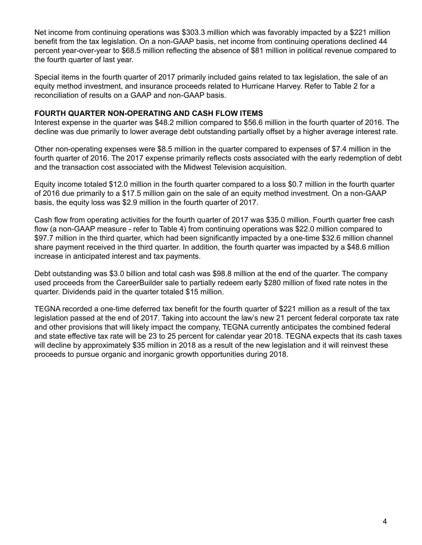Net income from continuing operations was \$303.3 million which was favorably impacted by a \$221 million benefit from the tax legislation. On a non-GAAP basis, net income from continuing operations declined 44 percent year-over-year to \$68.5 million reflecting the absence of \$81 million in political revenue compared to the fourth quarter of last year.

Special items in the fourth quarter of 2017 primarily included gains related to tax legislation, the sale of an equity method investment, and insurance proceeds related to Hurricane Harvey. Refer to Table 2 for a reconciliation of results on a GAAP and non-GAAP basis.

#### **FOURTH QUARTER NON-OPERATING AND CASH FLOW ITEMS**

Interest expense in the quarter was \$48.2 million compared to \$56.6 million in the fourth quarter of 2016. The decline was due primarily to lower average debt outstanding partially offset by a higher average interest rate.

Other non-operating expenses were \$8.5 million in the quarter compared to expenses of \$7.4 million in the fourth quarter of 2016. The 2017 expense primarily reflects costs associated with the early redemption of debt and the transaction cost associated with the Midwest Television acquisition.

Equity income totaled \$12.0 million in the fourth quarter compared to a loss \$0.7 million in the fourth quarter of 2016 due primarily to a \$17.5 million gain on the sale of an equity method investment. On a non-GAAP basis, the equity loss was \$2.9 million in the fourth quarter of 2017.

Cash flow from operating activities for the fourth quarter of 2017 was \$35.0 million. Fourth quarter free cash flow (a non-GAAP measure - refer to Table 4) from continuing operations was \$22.0 million compared to \$97.7 million in the third quarter, which had been significantly impacted by a one-time \$32.6 million channel share payment received in the third quarter. In addition, the fourth quarter was impacted by a \$48.6 million increase in anticipated interest and tax payments.

Debt outstanding was \$3.0 billion and total cash was \$98.8 million at the end of the quarter. The company used proceeds from the CareerBuilder sale to partially redeem early \$280 million of fixed rate notes in the quarter. Dividends paid in the quarter totaled \$15 million.

TEGNA recorded a one-time deferred tax benefit for the fourth quarter of \$221 million as a result of the tax legislation passed at the end of 2017. Taking into account the law's new 21 percent federal corporate tax rate and other provisions that will likely impact the company, TEGNA currently anticipates the combined federal and state effective tax rate will be 23 to 25 percent for calendar year 2018. TEGNA expects that its cash taxes will decline by approximately \$35 million in 2018 as a result of the new legislation and it will reinvest these proceeds to pursue organic and inorganic growth opportunities during 2018.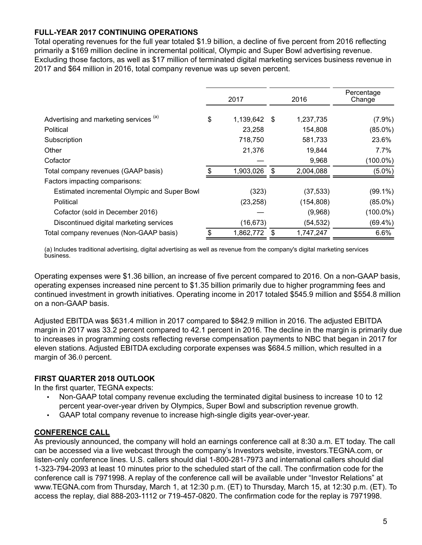# **FULL-YEAR 2017 CONTINUING OPERATIONS**

Total operating revenues for the full year totaled \$1.9 billion, a decline of five percent from 2016 reflecting primarily a \$169 million decline in incremental political, Olympic and Super Bowl advertising revenue. Excluding those factors, as well as \$17 million of terminated digital marketing services business revenue in 2017 and \$64 million in 2016, total company revenue was up seven percent.

|                                              |  | 2017         |   | 2016       | Percentage<br>Change |  |  |
|----------------------------------------------|--|--------------|---|------------|----------------------|--|--|
| Advertising and marketing services (a)       |  | 1,139,642 \$ |   | 1,237,735  | $(7.9\%)$            |  |  |
| Political                                    |  | 23,258       |   | 154,808    | $(85.0\%)$           |  |  |
| Subscription                                 |  | 718,750      |   | 581,733    | 23.6%                |  |  |
| Other                                        |  | 21,376       |   | 19,844     | 7.7%                 |  |  |
| Cofactor                                     |  |              |   | 9,968      | $(100.0\%)$          |  |  |
| Total company revenues (GAAP basis)          |  | 1,903,026    | S | 2,004,088  | $(5.0\%)$            |  |  |
| Factors impacting comparisons:               |  |              |   |            |                      |  |  |
| Estimated incremental Olympic and Super Bowl |  | (323)        |   | (37, 533)  | $(99.1\%)$           |  |  |
| Political                                    |  | (23, 258)    |   | (154, 808) | $(85.0\%)$           |  |  |
| Cofactor (sold in December 2016)             |  |              |   | (9,968)    | $(100.0\%)$          |  |  |
| Discontinued digital marketing services      |  | (16, 673)    |   | (54, 532)  | $(69.4\%)$           |  |  |
| Total company revenues (Non-GAAP basis)      |  | 1,862,772    |   | 1,747,247  | 6.6%                 |  |  |

(a) Includes traditional advertising, digital advertising as well as revenue from the company's digital marketing services business.

Operating expenses were \$1.36 billion, an increase of five percent compared to 2016. On a non-GAAP basis, operating expenses increased nine percent to \$1.35 billion primarily due to higher programming fees and continued investment in growth initiatives. Operating income in 2017 totaled \$545.9 million and \$554.8 million on a non-GAAP basis.

Adjusted EBITDA was \$631.4 million in 2017 compared to \$842.9 million in 2016. The adjusted EBITDA margin in 2017 was 33.2 percent compared to 42.1 percent in 2016. The decline in the margin is primarily due to increases in programming costs reflecting reverse compensation payments to NBC that began in 2017 for eleven stations. Adjusted EBITDA excluding corporate expenses was \$684.5 million, which resulted in a margin of 36.0 percent.

## **FIRST QUARTER 2018 OUTLOOK**

In the first quarter, TEGNA expects:

- Non-GAAP total company revenue excluding the terminated digital business to increase 10 to 12 percent year-over-year driven by Olympics, Super Bowl and subscription revenue growth.
- GAAP total company revenue to increase high-single digits year-over-year.

## **CONFERENCE CALL**

As previously announced, the company will hold an earnings conference call at 8:30 a.m. ET today. The call can be accessed via a live webcast through the company's Investors website, investors.TEGNA.com, or listen-only conference lines. U.S. callers should dial 1-800-281-7973 and international callers should dial 1-323-794-2093 at least 10 minutes prior to the scheduled start of the call. The confirmation code for the conference call is 7971998. A replay of the conference call will be available under "Investor Relations" at www.TEGNA.com from Thursday, March 1, at 12:30 p.m. (ET) to Thursday, March 15, at 12:30 p.m. (ET). To access the replay, dial 888-203-1112 or 719-457-0820. The confirmation code for the replay is 7971998.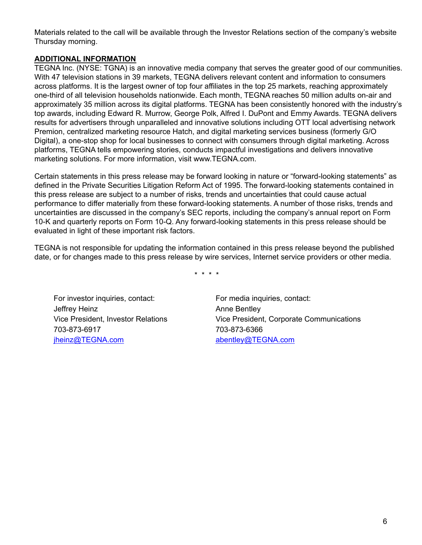Materials related to the call will be available through the Investor Relations section of the company's website Thursday morning.

## **ADDITIONAL INFORMATION**

TEGNA Inc. (NYSE: TGNA) is an innovative media company that serves the greater good of our communities. With 47 television stations in 39 markets, TEGNA delivers relevant content and information to consumers across platforms. It is the largest owner of top four affiliates in the top 25 markets, reaching approximately one-third of all television households nationwide. Each month, TEGNA reaches 50 million adults on-air and approximately 35 million across its digital platforms. TEGNA has been consistently honored with the industry's top awards, including Edward R. Murrow, George Polk, Alfred I. DuPont and Emmy Awards. TEGNA delivers results for advertisers through unparalleled and innovative solutions including OTT local advertising network Premion, centralized marketing resource Hatch, and digital marketing services business (formerly G/O Digital), a one-stop shop for local businesses to connect with consumers through digital marketing. Across platforms, TEGNA tells empowering stories, conducts impactful investigations and delivers innovative marketing solutions. For more information, visit www.TEGNA.com.

Certain statements in this press release may be forward looking in nature or "forward-looking statements" as defined in the Private Securities Litigation Reform Act of 1995. The forward-looking statements contained in this press release are subject to a number of risks, trends and uncertainties that could cause actual performance to differ materially from these forward-looking statements. A number of those risks, trends and uncertainties are discussed in the company's SEC reports, including the company's annual report on Form 10-K and quarterly reports on Form 10-Q. Any forward-looking statements in this press release should be evaluated in light of these important risk factors.

TEGNA is not responsible for updating the information contained in this press release beyond the published date, or for changes made to this press release by wire services, Internet service providers or other media.

\* \* \* \*

For investor inquiries, contact: For media inquiries, contact: Jeffrey Heinz **Anne Bentley** 703-873-6917 703-873-6366 jheinz@TEGNA.com abentley@TEGNA.com

Vice President, Investor Relations Vice President, Corporate Communications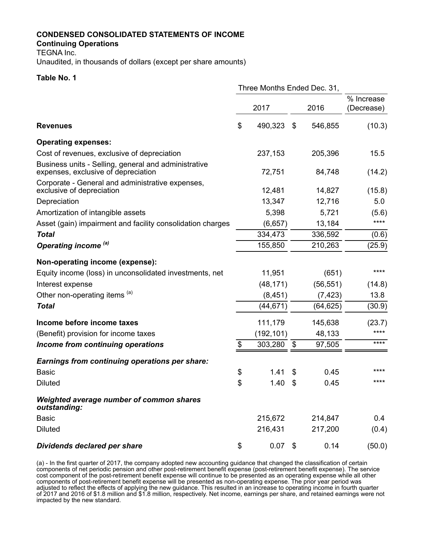#### **CONDENSED CONSOLIDATED STATEMENTS OF INCOME**

#### **Continuing Operations**

TEGNA Inc.

Unaudited, in thousands of dollars (except per share amounts)

#### **Table No. 1**

|                                                                                             | Three Months Ended Dec. 31, |            |               |                          |
|---------------------------------------------------------------------------------------------|-----------------------------|------------|---------------|--------------------------|
|                                                                                             |                             | 2017       | 2016          | % Increase<br>(Decrease) |
| <b>Revenues</b>                                                                             | \$                          | 490,323    | \$<br>546,855 | (10.3)                   |
| <b>Operating expenses:</b>                                                                  |                             |            |               |                          |
| Cost of revenues, exclusive of depreciation                                                 |                             | 237,153    | 205,396       | 15.5                     |
| Business units - Selling, general and administrative<br>expenses, exclusive of depreciation |                             | 72,751     | 84,748        | (14.2)                   |
| Corporate - General and administrative expenses,<br>exclusive of depreciation               |                             | 12,481     | 14,827        | (15.8)                   |
| Depreciation                                                                                |                             | 13,347     | 12,716        | 5.0                      |
| Amortization of intangible assets                                                           |                             | 5,398      | 5,721         | (5.6)                    |
| Asset (gain) impairment and facility consolidation charges                                  |                             | (6,657)    | 13,184        | ****                     |
| <b>Total</b>                                                                                |                             | 334,473    | 336,592       | (0.6)                    |
| Operating income <sup>(a)</sup>                                                             |                             | 155,850    | 210,263       | (25.9)                   |
| Non-operating income (expense):                                                             |                             |            |               |                          |
| Equity income (loss) in unconsolidated investments, net                                     |                             | 11,951     | (651)         | ****                     |
| Interest expense                                                                            |                             | (48, 171)  | (56, 551)     | (14.8)                   |
| Other non-operating items (a)                                                               |                             | (8, 451)   | (7, 423)      | 13.8                     |
| <b>Total</b>                                                                                |                             | (44, 671)  | (64, 625)     | (30.9)                   |
| Income before income taxes                                                                  |                             | 111,179    | 145,638       | (23.7)                   |
| (Benefit) provision for income taxes                                                        |                             | (192, 101) | 48,133        | ****                     |
| Income from continuing operations                                                           | $\frac{1}{2}$               | 303,280    | \$<br>97,505  | ****                     |
| <b>Earnings from continuing operations per share:</b>                                       |                             |            |               |                          |
| <b>Basic</b>                                                                                | \$                          | 1.41       | \$<br>0.45    | ****                     |
| <b>Diluted</b>                                                                              | \$                          | 1.40       | \$<br>0.45    | ****                     |
| Weighted average number of common shares<br>outstanding:                                    |                             |            |               |                          |
| <b>Basic</b>                                                                                |                             | 215,672    | 214,847       | 0.4                      |
| <b>Diluted</b>                                                                              |                             | 216,431    | 217,200       | (0.4)                    |
| Dividends declared per share                                                                | \$                          | 0.07       | \$<br>0.14    | (50.0)                   |

(a) - In the first quarter of 2017, the company adopted new accounting guidance that changed the classification of certain components of net periodic pension and other post-retirement benefit expense (post-retirement benefit expense). The service cost component of the post-retirement benefit expense will continue to be presented as an operating expense while all other components of post-retirement benefit expense will be presented as non-operating expense. The prior year period was adjusted to reflect the effects of applying the new guidance. This resulted in an increase to operating income in fourth quarter of 2017 and 2016 of \$1.8 million and \$1.8 million, respectively. Net income, earnings per share, and retained earnings were not impacted by the new standard.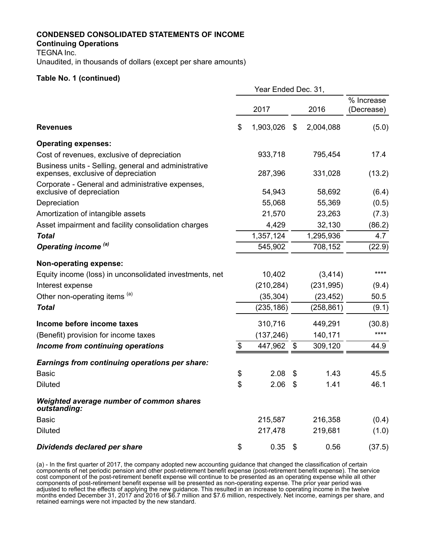#### **CONDENSED CONSOLIDATED STATEMENTS OF INCOME**

#### **Continuing Operations**

TEGNA Inc.

Unaudited, in thousands of dollars (except per share amounts)

#### **Table No. 1 (continued)**

|                                                                                             | Year Ended Dec. 31, |            |    |            |                          |  |  |  |  |  |
|---------------------------------------------------------------------------------------------|---------------------|------------|----|------------|--------------------------|--|--|--|--|--|
|                                                                                             |                     | 2017       |    | 2016       | % Increase<br>(Decrease) |  |  |  |  |  |
| <b>Revenues</b>                                                                             | \$                  | 1,903,026  | \$ | 2,004,088  | (5.0)                    |  |  |  |  |  |
| <b>Operating expenses:</b>                                                                  |                     |            |    |            |                          |  |  |  |  |  |
| Cost of revenues, exclusive of depreciation                                                 |                     | 933,718    |    | 795,454    | 17.4                     |  |  |  |  |  |
| Business units - Selling, general and administrative<br>expenses, exclusive of depreciation |                     | 287,396    |    | 331,028    | (13.2)                   |  |  |  |  |  |
| Corporate - General and administrative expenses,<br>exclusive of depreciation               |                     | 54,943     |    | 58,692     | (6.4)                    |  |  |  |  |  |
| Depreciation                                                                                |                     | 55,068     |    | 55,369     | (0.5)                    |  |  |  |  |  |
| Amortization of intangible assets                                                           |                     | 21,570     |    | 23,263     | (7.3)                    |  |  |  |  |  |
| Asset impairment and facility consolidation charges                                         |                     | 4,429      |    | 32,130     | (86.2)                   |  |  |  |  |  |
| <b>Total</b>                                                                                |                     | 1,357,124  |    | 1,295,936  | 4.7                      |  |  |  |  |  |
| Operating income <sup>(a)</sup>                                                             |                     | 545,902    |    | 708,152    | (22.9)                   |  |  |  |  |  |
| <b>Non-operating expense:</b>                                                               |                     |            |    |            |                          |  |  |  |  |  |
| Equity income (loss) in unconsolidated investments, net                                     |                     | 10,402     |    | (3, 414)   | ****                     |  |  |  |  |  |
| Interest expense                                                                            |                     | (210, 284) |    | (231, 995) | (9.4)                    |  |  |  |  |  |
| Other non-operating items (a)                                                               |                     | (35, 304)  |    | (23, 452)  | 50.5                     |  |  |  |  |  |
| <b>Total</b>                                                                                |                     | (235, 186) |    | (258, 861) | (9.1)                    |  |  |  |  |  |
| Income before income taxes                                                                  |                     | 310,716    |    | 449,291    | (30.8)                   |  |  |  |  |  |
| (Benefit) provision for income taxes                                                        |                     | (137, 246) |    | 140,171    | ****                     |  |  |  |  |  |
| Income from continuing operations                                                           | \$                  | 447,962    | \$ | 309,120    | 44.9                     |  |  |  |  |  |
| <b>Earnings from continuing operations per share:</b>                                       |                     |            |    |            |                          |  |  |  |  |  |
| <b>Basic</b>                                                                                | \$                  | 2.08       | \$ | 1.43       | 45.5                     |  |  |  |  |  |
| <b>Diluted</b>                                                                              | \$                  | 2.06       | \$ | 1.41       | 46.1                     |  |  |  |  |  |
| Weighted average number of common shares<br>outstanding:                                    |                     |            |    |            |                          |  |  |  |  |  |
| <b>Basic</b>                                                                                |                     | 215,587    |    | 216,358    | (0.4)                    |  |  |  |  |  |
| <b>Diluted</b>                                                                              |                     | 217,478    |    | 219,681    | (1.0)                    |  |  |  |  |  |
| Dividends declared per share                                                                | \$                  | $0.35$ \$  |    | 0.56       | (37.5)                   |  |  |  |  |  |

(a) - In the first quarter of 2017, the company adopted new accounting guidance that changed the classification of certain components of net periodic pension and other post-retirement benefit expense (post-retirement benefit expense). The service cost component of the post-retirement benefit expense will continue to be presented as an operating expense while all other components of post-retirement benefit expense will be presented as non-operating expense. The prior year period was adjusted to reflect the effects of applying the new guidance. This resulted in an increase to operating income in the twelve months ended December 31, 2017 and 2016 of \$6.7 million and \$7.6 million, respectively. Net income, earnings per share, and retained earnings were not impacted by the new standard.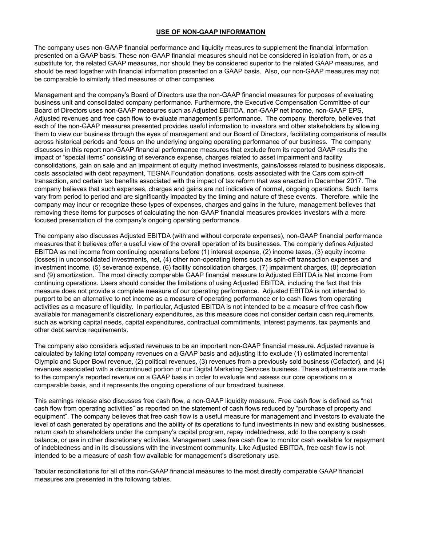#### **USE OF NON-GAAP INFORMATION**

The company uses non-GAAP financial performance and liquidity measures to supplement the financial information presented on a GAAP basis. These non-GAAP financial measures should not be considered in isolation from, or as a substitute for, the related GAAP measures, nor should they be considered superior to the related GAAP measures, and should be read together with financial information presented on a GAAP basis. Also, our non-GAAP measures may not be comparable to similarly titled measures of other companies.

Management and the company's Board of Directors use the non-GAAP financial measures for purposes of evaluating business unit and consolidated company performance. Furthermore, the Executive Compensation Committee of our Board of Directors uses non-GAAP measures such as Adjusted EBITDA, non-GAAP net income, non-GAAP EPS, Adjusted revenues and free cash flow to evaluate management's performance. The company, therefore, believes that each of the non-GAAP measures presented provides useful information to investors and other stakeholders by allowing them to view our business through the eyes of management and our Board of Directors, facilitating comparisons of results across historical periods and focus on the underlying ongoing operating performance of our business. The company discusses in this report non-GAAP financial performance measures that exclude from its reported GAAP results the impact of "special items" consisting of severance expense, charges related to asset impairment and facility consolidations, gain on sale and an impairment of equity method investments, gains/losses related to business disposals, costs associated with debt repayment, TEGNA Foundation donations, costs associated with the Cars.com spin-off transaction, and certain tax benefits associated with the impact of tax reform that was enacted in December 2017. The company believes that such expenses, charges and gains are not indicative of normal, ongoing operations. Such items vary from period to period and are significantly impacted by the timing and nature of these events. Therefore, while the company may incur or recognize these types of expenses, charges and gains in the future, management believes that removing these items for purposes of calculating the non-GAAP financial measures provides investors with a more focused presentation of the company's ongoing operating performance.

The company also discusses Adjusted EBITDA (with and without corporate expenses), non-GAAP financial performance measures that it believes offer a useful view of the overall operation of its businesses. The company defines Adjusted EBITDA as net income from continuing operations before (1) interest expense, (2) income taxes, (3) equity income (losses) in unconsolidated investments, net, (4) other non-operating items such as spin-off transaction expenses and investment income, (5) severance expense, (6) facility consolidation charges, (7) impairment charges, (8) depreciation and (9) amortization. The most directly comparable GAAP financial measure to Adjusted EBITDA is Net income from continuing operations. Users should consider the limitations of using Adjusted EBITDA, including the fact that this measure does not provide a complete measure of our operating performance. Adjusted EBITDA is not intended to purport to be an alternative to net income as a measure of operating performance or to cash flows from operating activities as a measure of liquidity. In particular, Adjusted EBITDA is not intended to be a measure of free cash flow available for management's discretionary expenditures, as this measure does not consider certain cash requirements, such as working capital needs, capital expenditures, contractual commitments, interest payments, tax payments and other debt service requirements.

The company also considers adjusted revenues to be an important non-GAAP financial measure. Adjusted revenue is calculated by taking total company revenues on a GAAP basis and adjusting it to exclude (1) estimated incremental Olympic and Super Bowl revenue, (2) political revenues, (3) revenues from a previously sold business (Cofactor), and (4) revenues associated with a discontinued portion of our Digital Marketing Services business. These adjustments are made to the company's reported revenue on a GAAP basis in order to evaluate and assess our core operations on a comparable basis, and it represents the ongoing operations of our broadcast business.

This earnings release also discusses free cash flow, a non-GAAP liquidity measure. Free cash flow is defined as "net cash flow from operating activities" as reported on the statement of cash flows reduced by "purchase of property and equipment". The company believes that free cash flow is a useful measure for management and investors to evaluate the level of cash generated by operations and the ability of its operations to fund investments in new and existing businesses, return cash to shareholders under the company's capital program, repay indebtedness, add to the company's cash balance, or use in other discretionary activities. Management uses free cash flow to monitor cash available for repayment of indebtedness and in its discussions with the investment community. Like Adjusted EBITDA, free cash flow is not intended to be a measure of cash flow available for management's discretionary use.

Tabular reconciliations for all of the non-GAAP financial measures to the most directly comparable GAAP financial measures are presented in the following tables.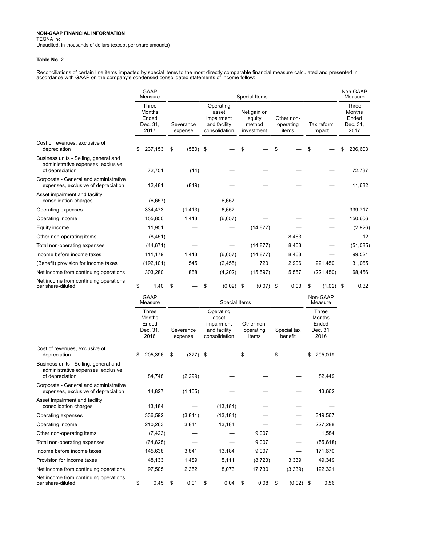TEGNA Inc.

Unaudited, in thousands of dollars (except per share amounts)

#### **Table No. 2**

Reconciliations of certain line items impacted by special items to the most directly comparable financial measure calculated and presented in<br>accordance with GAAP on the company's condensed consolidated statements of incom

|                                                                                                |                                                     | <b>GAAP</b><br>Measure |                      |            |                                                                   |             |                                               | Special Items |                                  |       |                      |             |                                              | Non-GAAP<br>Measure |
|------------------------------------------------------------------------------------------------|-----------------------------------------------------|------------------------|----------------------|------------|-------------------------------------------------------------------|-------------|-----------------------------------------------|---------------|----------------------------------|-------|----------------------|-------------|----------------------------------------------|---------------------|
|                                                                                                | Three<br><b>Months</b><br>Ended<br>Dec. 31,<br>2017 |                        | Severance<br>expense |            | Operating<br>asset<br>impairment<br>and facility<br>consolidation |             | Net gain on<br>equity<br>method<br>investment |               | Other non-<br>operating<br>items |       | Tax reform<br>impact |             | Three<br>Months<br>Ended<br>Dec. 31,<br>2017 |                     |
| Cost of revenues, exclusive of<br>depreciation                                                 | \$                                                  | 237,153                | \$                   | $(550)$ \$ |                                                                   |             | \$                                            |               | \$                               |       | \$                   |             | \$                                           | 236,603             |
| Business units - Selling, general and<br>administrative expenses, exclusive<br>of depreciation |                                                     | 72,751                 |                      | (14)       |                                                                   |             |                                               |               |                                  |       |                      |             |                                              | 72,737              |
| Corporate - General and administrative<br>expenses, exclusive of depreciation                  |                                                     | 12,481                 |                      | (849)      |                                                                   |             |                                               |               |                                  |       |                      |             |                                              | 11,632              |
| Asset impairment and facility<br>consolidation charges                                         |                                                     | (6,657)                |                      |            |                                                                   | 6,657       |                                               |               |                                  |       |                      |             |                                              |                     |
| Operating expenses                                                                             |                                                     | 334,473                |                      | (1, 413)   |                                                                   | 6,657       |                                               |               |                                  |       |                      |             |                                              | 339,717             |
| Operating income                                                                               |                                                     | 155,850                |                      | 1,413      |                                                                   | (6,657)     |                                               |               |                                  |       |                      |             |                                              | 150,606             |
| Equity income                                                                                  |                                                     | 11,951                 |                      |            |                                                                   |             |                                               | (14, 877)     |                                  |       |                      |             |                                              | (2,926)             |
| Other non-operating items                                                                      |                                                     | (8, 451)               |                      |            |                                                                   |             |                                               |               |                                  | 8,463 |                      |             |                                              | 12                  |
| Total non-operating expenses                                                                   |                                                     | (44, 671)              |                      |            |                                                                   |             |                                               | (14, 877)     |                                  | 8,463 |                      |             |                                              | (51,085)            |
| Income before income taxes                                                                     |                                                     | 111,179                |                      | 1,413      |                                                                   | (6,657)     |                                               | (14, 877)     |                                  | 8,463 |                      |             |                                              | 99,521              |
| (Benefit) provision for income taxes                                                           |                                                     | (192, 101)             |                      | 545        |                                                                   | (2, 455)    |                                               | 720           |                                  | 2,906 |                      | 221,450     |                                              | 31,065              |
| Net income from continuing operations                                                          |                                                     | 303,280                |                      | 868        |                                                                   | (4,202)     |                                               | (15, 597)     |                                  | 5,557 |                      | (221, 450)  |                                              | 68,456              |
| Net income from continuing operations<br>per share-diluted                                     | \$                                                  | 1.40                   | \$                   |            | \$                                                                | $(0.02)$ \$ |                                               | $(0.07)$ \$   |                                  | 0.03  | \$                   | $(1.02)$ \$ |                                              | 0.32                |

Non-GAAP

|                                                                                                |    | Measure                                             |    | Measure              |                                                                   |    |                                  |    |                        |                                                     |           |
|------------------------------------------------------------------------------------------------|----|-----------------------------------------------------|----|----------------------|-------------------------------------------------------------------|----|----------------------------------|----|------------------------|-----------------------------------------------------|-----------|
|                                                                                                |    | Three<br><b>Months</b><br>Ended<br>Dec. 31,<br>2016 |    | Severance<br>expense | Operating<br>asset<br>impairment<br>and facility<br>consolidation |    | Other non-<br>operating<br>items |    | Special tax<br>benefit | Three<br><b>Months</b><br>Ended<br>Dec. 31,<br>2016 |           |
| Cost of revenues, exclusive of<br>depreciation                                                 | \$ | 205,396                                             | \$ | $(377)$ \$           |                                                                   | \$ |                                  | \$ |                        | \$                                                  | 205,019   |
| Business units - Selling, general and<br>administrative expenses, exclusive<br>of depreciation |    | 84.748                                              |    | (2, 299)             |                                                                   |    |                                  |    |                        |                                                     | 82,449    |
| Corporate - General and administrative<br>expenses, exclusive of depreciation                  |    | 14,827                                              |    | (1, 165)             |                                                                   |    |                                  |    |                        |                                                     | 13,662    |
| Asset impairment and facility<br>consolidation charges                                         |    | 13,184                                              |    |                      | (13, 184)                                                         |    |                                  |    |                        |                                                     |           |
| Operating expenses                                                                             |    | 336,592                                             |    | (3,841)              | (13, 184)                                                         |    |                                  |    |                        |                                                     | 319,567   |
| Operating income                                                                               |    | 210,263                                             |    | 3,841                | 13,184                                                            |    |                                  |    |                        |                                                     | 227,288   |
| Other non-operating items                                                                      |    | (7, 423)                                            |    |                      |                                                                   |    | 9,007                            |    |                        |                                                     | 1,584     |
| Total non-operating expenses                                                                   |    | (64, 625)                                           |    |                      |                                                                   |    | 9,007                            |    |                        |                                                     | (55, 618) |
| Income before income taxes                                                                     |    | 145,638                                             |    | 3,841                | 13,184                                                            |    | 9,007                            |    |                        |                                                     | 171,670   |
| Provision for income taxes                                                                     |    | 48,133                                              |    | 1,489                | 5,111                                                             |    | (8, 723)                         |    | 3,339                  |                                                     | 49,349    |
| Net income from continuing operations                                                          |    | 97,505                                              |    | 2,352                | 8,073                                                             |    | 17,730                           |    | (3, 339)               |                                                     | 122,321   |
| Net income from continuing operations<br>per share-diluted                                     | \$ | 0.45                                                | \$ | 0.01                 | \$<br>0.04                                                        | S  | 0.08                             | S  | $(0.02)$ \$            |                                                     | 0.56      |

GAAP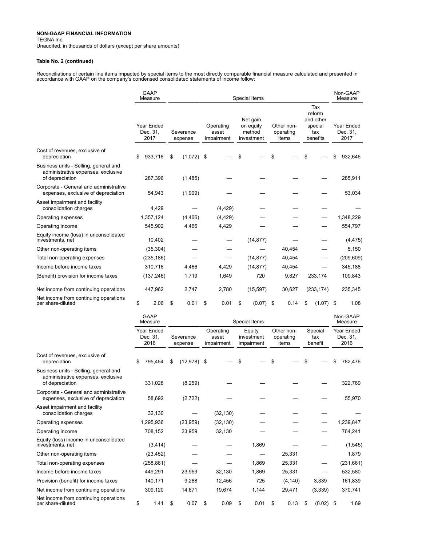Net income from continuing operations<br>per share-diluted

TEGNA Inc.

Unaudited, in thousands of dollars (except per share amounts)

#### **Table No. 2 (continued)**

Reconciliations of certain line items impacted by special items to the most directly comparable financial measure calculated and presented in<br>accordance with GAAP on the company's condensed consolidated statements of incom

|                                                                                                | <b>GAAP</b><br>Measure         |                      |                      |                                  |                                  |                                    | Special Items                                 |                                  |                                  |                           |                                                          | Non-GAAP<br>Measure            |
|------------------------------------------------------------------------------------------------|--------------------------------|----------------------|----------------------|----------------------------------|----------------------------------|------------------------------------|-----------------------------------------------|----------------------------------|----------------------------------|---------------------------|----------------------------------------------------------|--------------------------------|
|                                                                                                | Year Ended<br>Dec. 31,<br>2017 |                      | Severance<br>expense |                                  | Operating<br>asset<br>impairment |                                    | Net gain<br>on equity<br>method<br>investment |                                  | Other non-<br>operating<br>items |                           | Tax<br>reform<br>and other<br>special<br>tax<br>benefits | Year Ended<br>Dec. 31,<br>2017 |
| Cost of revenues, exclusive of<br>depreciation                                                 | 933,718<br>\$                  | \$                   | $(1,072)$ \$         |                                  |                                  | \$                                 |                                               | \$                               |                                  | \$                        |                                                          | 932,646                        |
| Business units - Selling, general and<br>administrative expenses, exclusive<br>of depreciation | 287,396                        |                      | (1,485)              |                                  |                                  |                                    |                                               |                                  |                                  |                           |                                                          | 285,911                        |
| Corporate - General and administrative<br>expenses, exclusive of depreciation                  | 54,943                         |                      | (1,909)              |                                  |                                  |                                    |                                               |                                  |                                  |                           |                                                          | 53,034                         |
| Asset impairment and facility<br>consolidation charges                                         | 4,429                          |                      |                      |                                  | (4, 429)                         |                                    |                                               |                                  |                                  |                           |                                                          |                                |
| Operating expenses                                                                             | 1,357,124                      |                      | (4, 466)             |                                  | (4, 429)                         |                                    |                                               |                                  |                                  |                           |                                                          | 1,348,229                      |
| Operating income                                                                               | 545,902                        |                      | 4,466                |                                  | 4,429                            |                                    |                                               |                                  |                                  |                           |                                                          | 554,797                        |
| Equity income (loss) in unconsolidated<br>investments, net                                     | 10,402                         |                      |                      |                                  |                                  |                                    | (14, 877)                                     |                                  |                                  |                           |                                                          | (4, 475)                       |
| Other non-operating items                                                                      | (35, 304)                      |                      |                      |                                  |                                  |                                    |                                               |                                  | 40,454                           |                           |                                                          | 5,150                          |
| Total non-operating expenses                                                                   | (235, 186)                     |                      |                      |                                  |                                  |                                    | (14, 877)                                     |                                  | 40,454                           |                           |                                                          | (209, 609)                     |
| Income before income taxes                                                                     | 310,716                        |                      | 4,466                |                                  | 4,429                            |                                    | (14, 877)                                     |                                  | 40,454                           |                           |                                                          | 345,188                        |
| (Benefit) provision for income taxes                                                           | (137, 246)                     |                      | 1,719                |                                  | 1,649                            |                                    | 720                                           |                                  | 9,827                            |                           | 233,174                                                  | 109,843                        |
| Net income from continuing operations                                                          | 447,962                        |                      | 2,747                |                                  | 2,780                            |                                    | (15, 597)                                     |                                  | 30,627                           |                           | (233, 174)                                               | 235,345                        |
| Net income from continuing operations<br>per share-diluted                                     | \$<br>2.06                     | \$                   | 0.01                 | \$                               | 0.01                             | \$                                 | $(0.07)$ \$                                   |                                  | 0.14                             | \$                        | (1.07)                                                   | \$<br>1.08                     |
|                                                                                                | GAAP<br>Measure                | Special Items        |                      |                                  |                                  |                                    |                                               |                                  |                                  |                           | Non-GAAP<br>Measure                                      |                                |
|                                                                                                | Year Ended<br>Dec. 31,<br>2016 | Severance<br>expense |                      | Operating<br>asset<br>impairment |                                  | Equity<br>investment<br>impairment |                                               | Other non-<br>operating<br>items |                                  | Special<br>tax<br>benefit |                                                          | Year Ended<br>Dec. 31,<br>2016 |
| Cost of revenues, exclusive of<br>depreciation                                                 | 795,454<br>S                   | \$                   | $(12,978)$ \$        |                                  |                                  | \$                                 |                                               | \$                               |                                  | \$                        |                                                          | 782,476                        |
| Business units - Selling, general and<br>administrative expenses, exclusive<br>of depreciation | 331,028                        |                      | (8, 259)             |                                  |                                  |                                    |                                               |                                  |                                  |                           |                                                          | 322,769                        |
| Corporate - General and administrative<br>expenses, exclusive of depreciation                  | 58,692                         |                      | (2, 722)             |                                  |                                  |                                    |                                               |                                  |                                  |                           |                                                          | 55,970                         |
| Asset impairment and facility<br>consolidation charges                                         | 32,130                         |                      |                      |                                  | (32, 130)                        |                                    |                                               |                                  |                                  |                           |                                                          |                                |
| Operating expenses                                                                             | 1,295,936                      |                      | (23,959)             |                                  | (32, 130)                        |                                    |                                               |                                  |                                  |                           |                                                          | 1,239,847                      |
| Operating income                                                                               | 708,152                        |                      | 23,959               |                                  | 32,130                           |                                    |                                               |                                  |                                  |                           |                                                          | 764,241                        |
| Equity (loss) income in unconsolidated<br>investments, net                                     | (3, 414)                       |                      |                      |                                  |                                  |                                    | 1,869                                         |                                  |                                  |                           |                                                          | (1, 545)                       |
| Other non-operating items                                                                      | (23, 452)                      |                      |                      |                                  |                                  |                                    |                                               |                                  | 25,331                           |                           |                                                          | 1,879                          |
| Total non-operating expenses                                                                   | (258, 861)                     |                      |                      |                                  |                                  |                                    | 1,869                                         |                                  | 25,331                           |                           |                                                          | (231, 661)                     |

Income before income taxes 449,291 23,959 32,130 1,869 25,331 — 532,580 Provision (benefit) for income taxes 140,171 9,288 12,456 725 (4,140) 3,339 161,839 Net income from continuing operations 309,120 14,671 19,674 1,144 29,471 (3,339) 370,741

\$ 1.41 \$ 0.07 \$ 0.09 \$ 0.01 \$ 0.13 \$ (0.02) \$ 1.69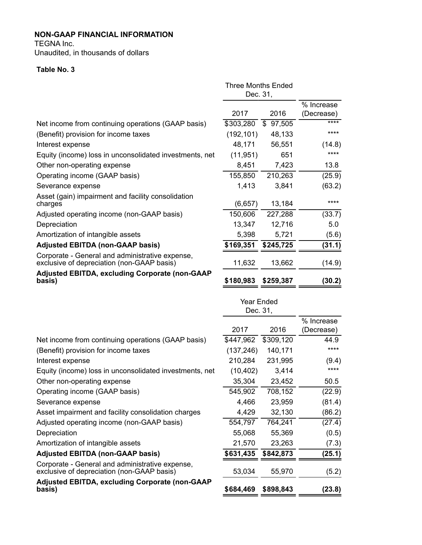TEGNA Inc.

Unaudited, in thousands of dollars

# **Table No. 3**

|                                                                                               | <b>Three Months Ended</b><br>Dec. 31, |           |                          |
|-----------------------------------------------------------------------------------------------|---------------------------------------|-----------|--------------------------|
|                                                                                               | 2017                                  | 2016      | % Increase<br>(Decrease) |
| Net income from continuing operations (GAAP basis)                                            | \$303,280                             | \$97,505  | ****                     |
| (Benefit) provision for income taxes                                                          | (192, 101)                            | 48,133    | ****                     |
| Interest expense                                                                              | 48,171                                | 56,551    | (14.8)                   |
| Equity (income) loss in unconsolidated investments, net                                       | (11, 951)                             | 651       | ****                     |
| Other non-operating expense                                                                   | 8,451                                 | 7,423     | 13.8                     |
| Operating income (GAAP basis)                                                                 | 155,850                               | 210,263   | (25.9)                   |
| Severance expense                                                                             | 1,413                                 | 3,841     | (63.2)                   |
| Asset (gain) impairment and facility consolidation<br>charges                                 | (6,657)                               | 13,184    | ****                     |
| Adjusted operating income (non-GAAP basis)                                                    | 150,606                               | 227,288   | (33.7)                   |
| Depreciation                                                                                  | 13,347                                | 12,716    | 5.0                      |
| Amortization of intangible assets                                                             | 5,398                                 | 5,721     | (5.6)                    |
| <b>Adjusted EBITDA (non-GAAP basis)</b>                                                       | \$169,351                             | \$245,725 | (31.1)                   |
| Corporate - General and administrative expense,<br>exclusive of depreciation (non-GAAP basis) | 11,632                                | 13,662    | (14.9)                   |
| <b>Adjusted EBITDA, excluding Corporate (non-GAAP</b><br>basis)                               | \$180,983                             | \$259,387 | (30.2)                   |
|                                                                                               | <b>Year Ended</b><br>Dec. 31,         |           | % Increase               |
|                                                                                               |                                       |           |                          |

|                                                                                               | 2017       | 2016      | (Decrease) |
|-----------------------------------------------------------------------------------------------|------------|-----------|------------|
| Net income from continuing operations (GAAP basis)                                            | \$447,962  | \$309,120 | 44.9       |
| (Benefit) provision for income taxes                                                          | (137, 246) | 140,171   | ****       |
| Interest expense                                                                              | 210,284    | 231,995   | (9.4)      |
| Equity (income) loss in unconsolidated investments, net                                       | (10, 402)  | 3,414     | ****       |
| Other non-operating expense                                                                   | 35,304     | 23,452    | 50.5       |
| Operating income (GAAP basis)                                                                 | 545,902    | 708,152   | (22.9)     |
| Severance expense                                                                             | 4,466      | 23,959    | (81.4)     |
| Asset impairment and facility consolidation charges                                           | 4,429      | 32,130    | (86.2)     |
| Adjusted operating income (non-GAAP basis)                                                    | 554,797    | 764,241   | (27.4)     |
| Depreciation                                                                                  | 55,068     | 55,369    | (0.5)      |
| Amortization of intangible assets                                                             | 21,570     | 23,263    | (7.3)      |
| <b>Adjusted EBITDA (non-GAAP basis)</b>                                                       | \$631,435  | \$842,873 | (25.1)     |
| Corporate - General and administrative expense,<br>exclusive of depreciation (non-GAAP basis) | 53,034     | 55,970    | (5.2)      |
| <b>Adjusted EBITDA, excluding Corporate (non-GAAP</b><br>basis)                               | \$684,469  | \$898,843 | (23.8)     |